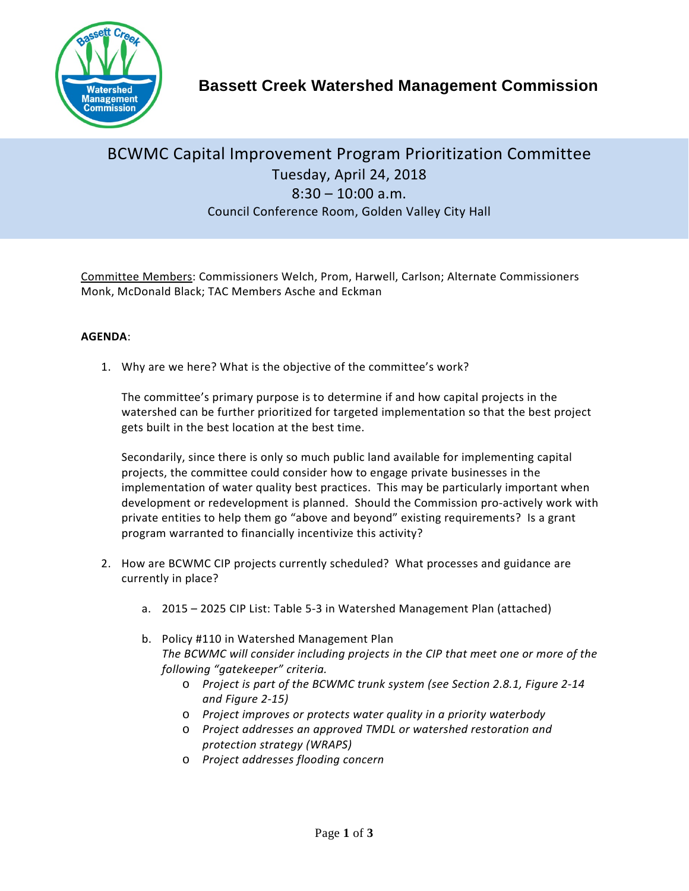

**Bassett Creek Watershed Management Commission**

## BCWMC Capital Improvement Program Prioritization Committee Tuesday, April 24, 2018  $8:30 - 10:00$  a.m. Council Conference Room, Golden Valley City Hall

Committee Members: Commissioners Welch, Prom, Harwell, Carlson; Alternate Commissioners Monk, McDonald Black; TAC Members Asche and Eckman

## **AGENDA**:

1. Why are we here? What is the objective of the committee's work?

The committee's primary purpose is to determine if and how capital projects in the watershed can be further prioritized for targeted implementation so that the best project gets built in the best location at the best time.

Secondarily, since there is only so much public land available for implementing capital projects, the committee could consider how to engage private businesses in the implementation of water quality best practices. This may be particularly important when development or redevelopment is planned. Should the Commission pro-actively work with private entities to help them go "above and beyond" existing requirements? Is a grant program warranted to financially incentivize this activity?

- 2. How are BCWMC CIP projects currently scheduled? What processes and guidance are currently in place?
	- a. 2015 2025 CIP List: Table 5-3 in Watershed Management Plan (attached)
	- b. Policy #110 in Watershed Management Plan *The BCWMC will consider including projects in the CIP that meet one or more of the following "gatekeeper" criteria.*
		- o *Project is part of the BCWMC trunk system (see Section 2.8.1, Figure 2-14 and Figure 2-15)*
		- o *Project improves or protects water quality in a priority waterbody*
		- o *Project addresses an approved TMDL or watershed restoration and protection strategy (WRAPS)*
		- o *Project addresses flooding concern*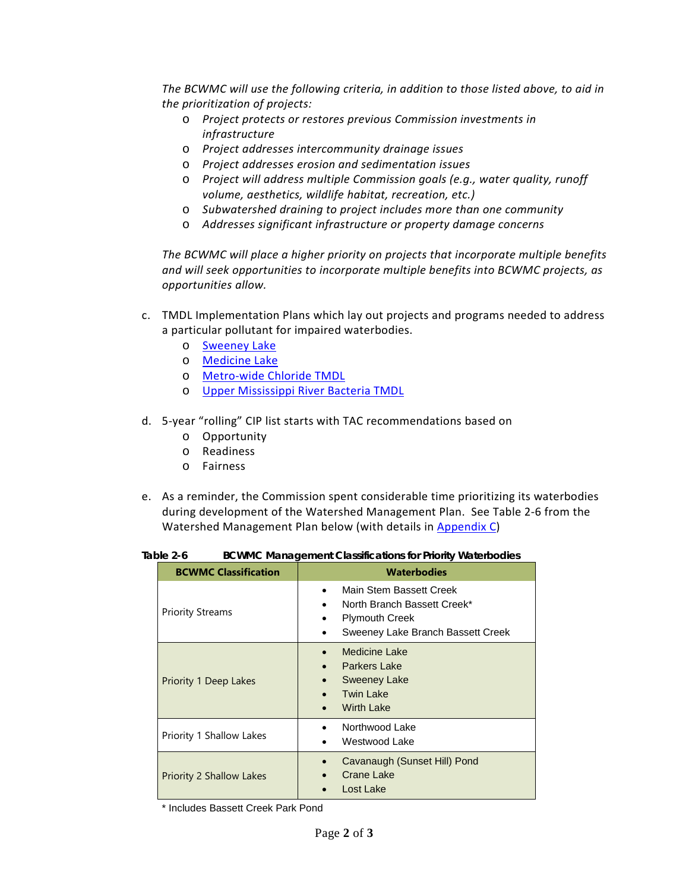*The BCWMC will use the following criteria, in addition to those listed above, to aid in the prioritization of projects:*

- o *Project protects or restores previous Commission investments in infrastructure*
- o *Project addresses intercommunity drainage issues*
- o *Project addresses erosion and sedimentation issues*
- o *Project will address multiple Commission goals (e.g., water quality, runoff volume, aesthetics, wildlife habitat, recreation, etc.)*
- o *Subwatershed draining to project includes more than one community*
- o *Addresses significant infrastructure or property damage concerns*

*The BCWMC will place a higher priority on projects that incorporate multiple benefits and will seek opportunities to incorporate multiple benefits into BCWMC projects, as opportunities allow.*

- c. TMDL Implementation Plans which lay out projects and programs needed to address a particular pollutant for impaired waterbodies.
	- o [Sweeney Lake](https://www.pca.state.mn.us/sites/default/files/wq-iw8-06e.pdf)
	- o [Medicine Lake](https://www.pca.state.mn.us/sites/default/files/wq-iw8-19c.pdf)
	- o [Metro-wide Chloride TMDL](https://www.pca.state.mn.us/sites/default/files/wq-iw11-06e.pdf)
	- o [Upper Mississippi River Bacteria TMDL](https://www.pca.state.mn.us/sites/default/files/wq-iw8-08c.pdf)
- d. 5-year "rolling" CIP list starts with TAC recommendations based on
	- o Opportunity
	- o Readiness
	- o Fairness
- e. As a reminder, the Commission spent considerable time prioritizing its waterbodies during development of the Watershed Management Plan. See Table 2-6 from the Watershed Management Plan below (with details in [Appendix C\)](http://www.bassettcreekwmo.org/application/files/9614/4676/6442/Appendix_C_Waterbody_Classification.pdf)

| Table 2-6 | <b>BCWMC Management Classifications for Priority Waterbodies</b> |  |  |
|-----------|------------------------------------------------------------------|--|--|
|-----------|------------------------------------------------------------------|--|--|

| <b>BCWMC Classification</b>     | <b>Waterbodies</b>                                                                                                                |
|---------------------------------|-----------------------------------------------------------------------------------------------------------------------------------|
| <b>Priority Streams</b>         | Main Stem Bassett Creek<br>North Branch Bassett Creek*<br>$\bullet$<br><b>Plymouth Creek</b><br>Sweeney Lake Branch Bassett Creek |
| <b>Priority 1 Deep Lakes</b>    | <b>Medicine Lake</b><br><b>Parkers Lake</b><br><b>Sweeney Lake</b><br><b>Twin Lake</b><br><b>Wirth Lake</b>                       |
| Priority 1 Shallow Lakes        | Northwood Lake<br>Westwood Lake                                                                                                   |
| <b>Priority 2 Shallow Lakes</b> | Cavanaugh (Sunset Hill) Pond<br>Crane Lake<br>Lost Lake                                                                           |

\* Includes Bassett Creek Park Pond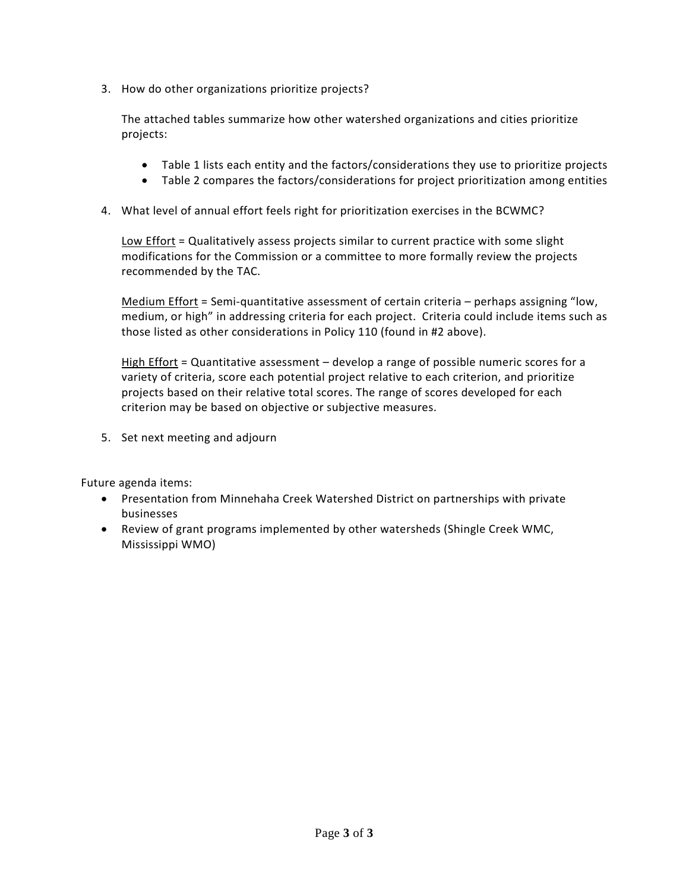3. How do other organizations prioritize projects?

The attached tables summarize how other watershed organizations and cities prioritize projects:

- Table 1 lists each entity and the factors/considerations they use to prioritize projects
- Table 2 compares the factors/considerations for project prioritization among entities
- 4. What level of annual effort feels right for prioritization exercises in the BCWMC?

Low Effort = Qualitatively assess projects similar to current practice with some slight modifications for the Commission or a committee to more formally review the projects recommended by the TAC.

Medium Effort = Semi-quantitative assessment of certain criteria – perhaps assigning "low, medium, or high" in addressing criteria for each project. Criteria could include items such as those listed as other considerations in Policy 110 (found in #2 above).

High Effort = Quantitative assessment  $-$  develop a range of possible numeric scores for a variety of criteria, score each potential project relative to each criterion, and prioritize projects based on their relative total scores. The range of scores developed for each criterion may be based on objective or subjective measures.

5. Set next meeting and adjourn

Future agenda items:

- Presentation from Minnehaha Creek Watershed District on partnerships with private businesses
- Review of grant programs implemented by other watersheds (Shingle Creek WMC, Mississippi WMO)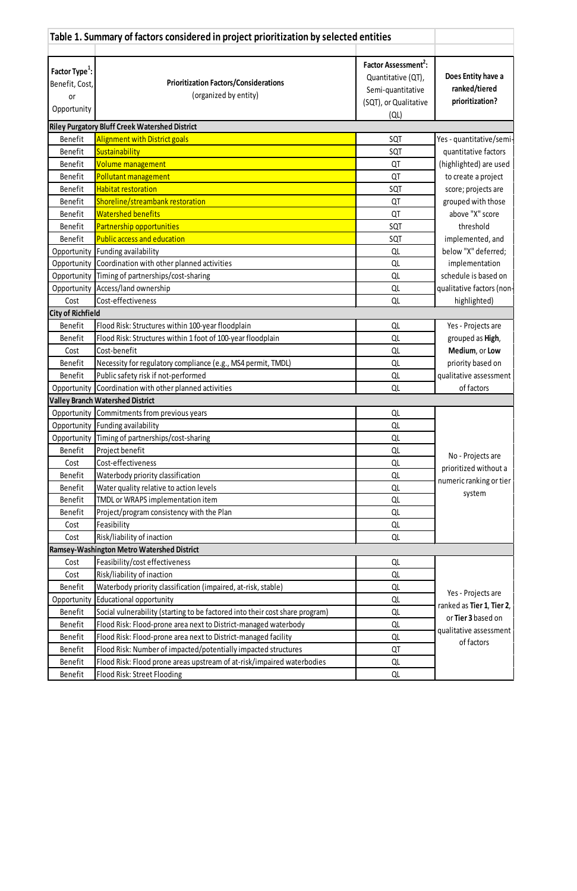| Table 1. Summary of factors considered in project prioritization by selected entities |                                                                              |                                  |                                                 |
|---------------------------------------------------------------------------------------|------------------------------------------------------------------------------|----------------------------------|-------------------------------------------------|
|                                                                                       |                                                                              |                                  |                                                 |
| Factor Type <sup>1</sup> :                                                            |                                                                              | Factor Assessment <sup>2</sup> : |                                                 |
| Benefit, Cost,                                                                        | <b>Prioritization Factors/Considerations</b>                                 | Quantitative (QT),               | Does Entity have a                              |
| <b>or</b>                                                                             | (organized by entity)                                                        | Semi-quantitative                | ranked/tiered                                   |
| Opportunity                                                                           |                                                                              | (SQT), or Qualitative            | prioritization?                                 |
|                                                                                       |                                                                              | $\left( QL\right)$               |                                                 |
|                                                                                       | <b>Riley Purgatory Bluff Creek Watershed District</b>                        |                                  |                                                 |
| Benefit                                                                               | <b>Alignment with District goals</b>                                         | SQT                              | Yes - quantitative/semi-                        |
| Benefit                                                                               | Sustainability                                                               | SQT                              | quantitative factors                            |
| Benefit                                                                               | Volume management                                                            | QT                               | (highlighted) are used                          |
| Benefit                                                                               | Pollutant management                                                         | QT                               | to create a project                             |
| <b>Benefit</b>                                                                        | <b>Habitat restoration</b>                                                   | SQT                              | score; projects are                             |
| Benefit                                                                               | Shoreline/streambank restoration                                             | QT                               | grouped with those                              |
| Benefit                                                                               | <b>Watershed benefits</b>                                                    | QT                               | above "X" score                                 |
| Benefit                                                                               | Partnership opportunities                                                    | SQT                              | threshold                                       |
| Benefit                                                                               | <b>Public access and education</b>                                           | SQT                              | implemented, and                                |
| Opportunity                                                                           | Funding availability                                                         | QL                               | below "X" deferred;                             |
| Opportunity                                                                           | Coordination with other planned activities                                   | QL                               | implementation                                  |
| Opportunity                                                                           | Timing of partnerships/cost-sharing                                          | QL                               | schedule is based on                            |
|                                                                                       | Opportunity   Access/land ownership                                          | QL                               | qualitative factors (non-                       |
| Cost                                                                                  | Cost-effectiveness                                                           | QL                               | highlighted)                                    |
| <b>City of Richfield</b>                                                              |                                                                              |                                  |                                                 |
| Benefit                                                                               | Flood Risk: Structures within 100-year floodplain                            | QL                               | Yes - Projects are                              |
| Benefit                                                                               | Flood Risk: Structures within 1 foot of 100-year floodplain                  | QL                               | grouped as High,                                |
| Cost                                                                                  | Cost-benefit                                                                 | QL                               | Medium, or Low                                  |
| Benefit                                                                               | Necessity for regulatory compliance (e.g., MS4 permit, TMDL)                 | QL                               | priority based on                               |
| Benefit                                                                               | Public safety risk if not-performed                                          | QL                               | qualitative assessment                          |
|                                                                                       | Opportunity Coordination with other planned activities                       | QL                               | of factors                                      |
|                                                                                       | <b>Valley Branch Watershed District</b>                                      |                                  |                                                 |
|                                                                                       | Opportunity Commitments from previous years                                  | QL                               |                                                 |
|                                                                                       | Opportunity Funding availability                                             | QL                               |                                                 |
|                                                                                       | Opportunity Timing of partnerships/cost-sharing                              | QL                               |                                                 |
| Benefit                                                                               | Project benefit                                                              | QL                               | No - Projects are                               |
| Cost                                                                                  | Cost-effectiveness                                                           | QL                               | prioritized without a                           |
| Benefit                                                                               | Waterbody priority classification                                            | QL                               | numeric ranking or tier                         |
| Benefit                                                                               | Water quality relative to action levels                                      | QL                               | system                                          |
| Benefit                                                                               | TMDL or WRAPS implementation item                                            | QL                               |                                                 |
| <b>Benefit</b>                                                                        | Project/program consistency with the Plan                                    | QL                               |                                                 |
| Cost                                                                                  | Feasibility                                                                  | QL                               |                                                 |
| Cost                                                                                  | Risk/liability of inaction                                                   | QL                               |                                                 |
|                                                                                       | <b>Ramsey-Washington Metro Watershed District</b>                            |                                  |                                                 |
| Cost                                                                                  | Feasibility/cost effectiveness                                               | QL                               |                                                 |
| Cost                                                                                  | Risk/liability of inaction                                                   | QL                               |                                                 |
| Benefit                                                                               | Waterbody priority classification (impaired, at-risk, stable)                | QL                               |                                                 |
| Opportunity                                                                           | Educational opportunity                                                      | QL                               | Yes - Projects are<br>ranked as Tier 1, Tier 2, |
| Benefit                                                                               | Social vulnerability (starting to be factored into their cost share program) | QL                               | or Tier 3 based on                              |
| Benefit                                                                               | Flood Risk: Flood-prone area next to District-managed waterbody              | QL                               |                                                 |
| Benefit                                                                               | Flood Risk: Flood-prone area next to District-managed facility               | QL                               | qualitative assessment                          |
| Benefit                                                                               | Flood Risk: Number of impacted/potentially impacted structures               | QT                               | of factors                                      |

| Benetit | Flood Risk:<br>l waterbodies<br>Hood prone areas upstream of at-risk/impaired | ∽ |
|---------|-------------------------------------------------------------------------------|---|
| Benetit | Street Flooding<br>u Risk: '<br><b>HOO</b> <sup>"</sup>                       | ∽ |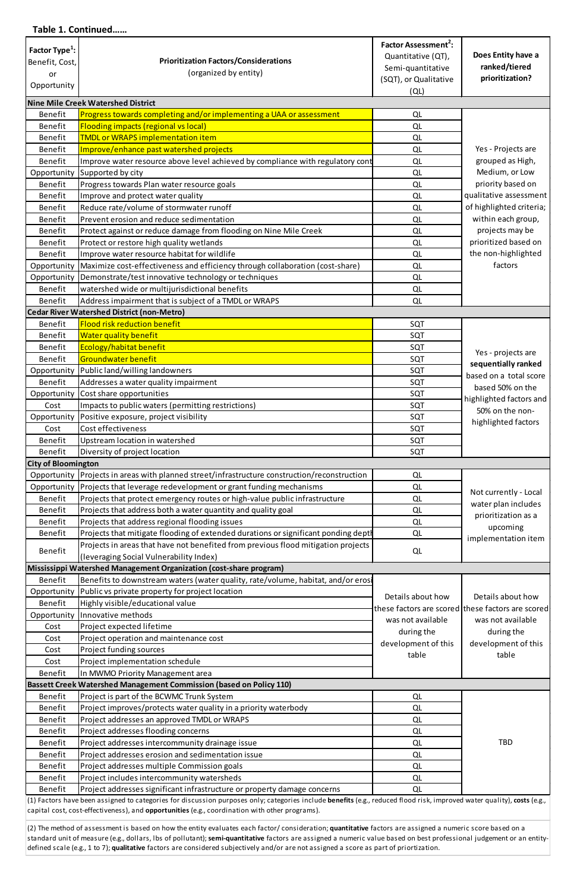## **Table 1. Continued……**

| Factor Type <sup>1</sup> : |                                                                                    | Factor Assessment <sup>2</sup> : |                                                   |  |
|----------------------------|------------------------------------------------------------------------------------|----------------------------------|---------------------------------------------------|--|
| Benefit, Cost,             | <b>Prioritization Factors/Considerations</b>                                       | Quantitative (QT),               | Does Entity have a                                |  |
|                            | (organized by entity)                                                              | Semi-quantitative                | ranked/tiered                                     |  |
| or                         |                                                                                    | (SQT), or Qualitative            | prioritization?                                   |  |
| Opportunity                |                                                                                    | (QL)                             |                                                   |  |
|                            | Nine Mile Creek Watershed District                                                 |                                  |                                                   |  |
| Benefit                    | Progress towards completing and/or implementing a UAA or assessment                | QL                               |                                                   |  |
| Benefit                    | <b>Flooding impacts (regional vs local)</b>                                        | QL                               |                                                   |  |
|                            |                                                                                    |                                  |                                                   |  |
| Benefit                    | <b>TMDL or WRAPS implementation item</b>                                           | QL                               |                                                   |  |
| Benefit                    | Improve/enhance past watershed projects                                            | QL                               | Yes - Projects are                                |  |
| Benefit                    | Improve water resource above level achieved by compliance with regulatory cont     | QL                               | grouped as High,                                  |  |
| Opportunity                | Supported by city                                                                  | QL                               | Medium, or Low                                    |  |
| Benefit                    | Progress towards Plan water resource goals                                         | QL                               | priority based on                                 |  |
| Benefit                    | Improve and protect water quality                                                  | QL                               | qualitative assessment                            |  |
| Benefit                    | Reduce rate/volume of stormwater runoff                                            | QL                               | of highlighted criteria;                          |  |
| <b>Benefit</b>             | Prevent erosion and reduce sedimentation                                           | QL                               | within each group,                                |  |
| Benefit                    | Protect against or reduce damage from flooding on Nine Mile Creek                  | QL                               | projects may be                                   |  |
| Benefit                    | Protect or restore high quality wetlands                                           | QL                               | prioritized based on                              |  |
| <b>Benefit</b>             | Improve water resource habitat for wildlife                                        | QL                               | the non-highlighted                               |  |
| Opportunity                | Maximize cost-effectiveness and efficiency through collaboration (cost-share)      | QL                               | factors                                           |  |
|                            |                                                                                    |                                  |                                                   |  |
| Opportunity                | Demonstrate/test innovative technology or techniques                               | QL                               |                                                   |  |
| <b>Benefit</b>             | watershed wide or multijurisdictional benefits                                     | QL                               |                                                   |  |
| Benefit                    | Address impairment that is subject of a TMDL or WRAPS                              | QL                               |                                                   |  |
|                            | Cedar River Watershed District (non-Metro)                                         |                                  |                                                   |  |
| Benefit                    | <b>Flood risk reduction benefit</b>                                                | SQT                              |                                                   |  |
| Benefit                    | <b>Water quality benefit</b>                                                       | SQT                              |                                                   |  |
| Benefit                    | Ecology/habitat benefit                                                            | SQT                              |                                                   |  |
| Benefit                    | Groundwater benefit                                                                | SQT                              | Yes - projects are                                |  |
| Opportunity                | Public land/willing landowners                                                     | SQT                              | sequentially ranked                               |  |
| Benefit                    | Addresses a water quality impairment                                               | SQT                              | based on a total score                            |  |
| Opportunity                | Cost share opportunities                                                           | SQT                              | based 50% on the                                  |  |
| Cost                       | Impacts to public waters (permitting restrictions)                                 | SQT                              | highlighted factors and                           |  |
|                            |                                                                                    |                                  | 50% on the non-                                   |  |
| Opportunity                | Positive exposure, project visibility                                              | SQT                              | highlighted factors                               |  |
| Cost                       | Cost effectiveness                                                                 | SQT                              |                                                   |  |
| Benefit                    | Upstream location in watershed                                                     | SQT                              |                                                   |  |
| Benefit                    | Diversity of project location                                                      | SQT                              |                                                   |  |
| <b>City of Bloomington</b> |                                                                                    |                                  |                                                   |  |
| Opportunity                | Projects in areas with planned street/infrastructure construction/reconstruction   | QL                               |                                                   |  |
| Opportunity                | Projects that leverage redevelopment or grant funding mechanisms                   | QL                               | Not currently - Local                             |  |
| Benefit                    | Projects that protect emergency routes or high-value public infrastructure         | QL                               | water plan includes                               |  |
| <b>Benefit</b>             | Projects that address both a water quantity and quality goal                       | QL                               |                                                   |  |
| Benefit                    | Projects that address regional flooding issues                                     | QL                               | prioritization as a                               |  |
| Benefit                    | Projects that mitigate flooding of extended durations or significant ponding depth | QL                               | upcoming                                          |  |
|                            | Projects in areas that have not benefited from previous flood mitigation projects  |                                  | implementation item                               |  |
| Benefit                    | (leveraging Social Vulnerability Index)                                            | QL                               |                                                   |  |
|                            |                                                                                    |                                  |                                                   |  |
|                            | Mississippi Watershed Management Organization (cost-share program)                 |                                  |                                                   |  |
| Benefit                    | Benefits to downstream waters (water quality, rate/volume, habitat, and/or erosi   |                                  |                                                   |  |
| Opportunity                | Public vs private property for project location                                    | Details about how                | Details about how                                 |  |
| Benefit                    | Highly visible/educational value                                                   |                                  | these factors are scored these factors are scored |  |
| Opportunity                | Innovative methods                                                                 | was not available                | was not available                                 |  |
| Cost                       | Project expected lifetime                                                          | during the                       | during the                                        |  |
| Cost                       | Project operation and maintenance cost                                             | development of this              | development of this                               |  |
| Cost                       | Project funding sources                                                            | table                            | table                                             |  |
| Cost                       | Project implementation schedule                                                    |                                  |                                                   |  |
| Benefit                    | In MWMO Priority Management area                                                   |                                  |                                                   |  |
|                            | <b>Bassett Creek Watershed Management Commission (based on Policy 110)</b>         |                                  |                                                   |  |
| Benefit                    | Project is part of the BCWMC Trunk System                                          | QL                               |                                                   |  |
| Benefit                    | Project improves/protects water quality in a priority waterbody                    | QL                               |                                                   |  |
| Benefit                    | Project addresses an approved TMDL or WRAPS                                        |                                  |                                                   |  |
|                            |                                                                                    | QL                               |                                                   |  |
| Benefit                    | Project addresses flooding concerns                                                | QL                               |                                                   |  |
| Benefit                    | Project addresses intercommunity drainage issue                                    | QL                               | <b>TBD</b>                                        |  |
| Benefit                    | Project addresses erosion and sedimentation issue                                  | QL                               |                                                   |  |
| Benefit                    | Project addresses multiple Commission goals                                        | QL                               |                                                   |  |
| Benefit                    | Project includes intercommunity watersheds                                         | QL                               |                                                   |  |
| Benefit                    | Project addresses significant infrastructure or property damage concerns           | QL                               |                                                   |  |
|                            |                                                                                    |                                  |                                                   |  |

(2) The method of assessment is based on how the entity evaluates each factor/ consideration; **quantitative** factors are assigned a numeric score based on a standard unit of measure (e.g., dollars, lbs of pollutant); **semi-quantitative** factors are assigned a numeric value based on best professional judgement or an entitydefined scale (e.g., 1 to 7); **qualitative** factors are considered subjectively and/or are not assigned a score as part of priortization.

(1) Factors have been assigned to categories for discussion purposes only; categories include **benefits** (e.g., reduced flood risk, improved water quality), **costs** (e.g., capital cost, cost-effectiveness), and **opportunities** (e.g., coordination with other programs).